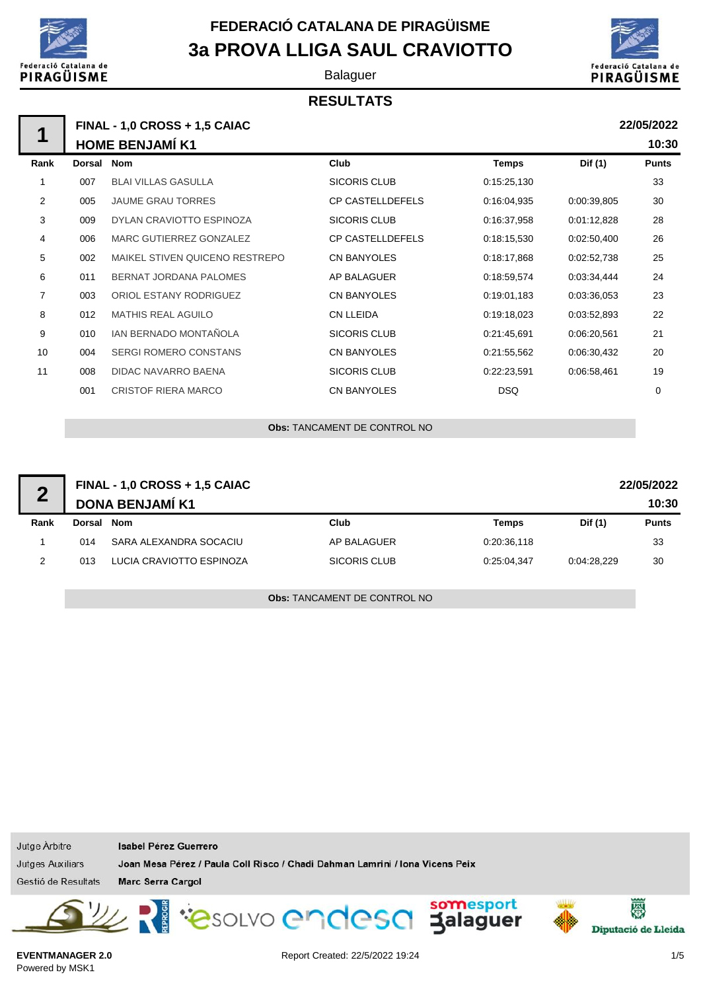

## **FEDERACIÓ CATALANA DE PIRAGÜISME 3a PROVA LLIGA SAUL CRAVIOTTO**

Balaguer

#### **RESULTATS**



**22/05/2022**

**10:30**

## **FINAL - 1,0 CROSS + 1,5 CAIAC HOME BENJAMÍ K1 Rank Dorsal Nom Club Temps Dif (1) Punts** 1 007 BLAI VILLAS GASULLA SICORIS CLUB 0:15:25.130 0:15:25.130 33 2 005 JAUME GRAU TORRES CP CASTELLDEFELS 0:16:04,935 0:00:39,805 30 **1**

| _  | vvv | <u>UNUIVIL UIVAU TUIVILU</u>   | <u>UL UNUTELLULI LLU</u> | 0. IU.UT.UUU | <u>0.00.00.000</u> | ັບ          |
|----|-----|--------------------------------|--------------------------|--------------|--------------------|-------------|
| 3  | 009 | DYLAN CRAVIOTTO ESPINOZA       | <b>SICORIS CLUB</b>      | 0:16:37,958  | 0:01:12.828        | 28          |
| 4  | 006 | MARC GUTIERREZ GONZALEZ        | <b>CP CASTELLDEFELS</b>  | 0:18:15,530  | 0:02:50.400        | 26          |
| 5  | 002 | MAIKEL STIVEN QUICENO RESTREPO | <b>CN BANYOLES</b>       | 0:18:17,868  | 0:02:52,738        | 25          |
| 6  | 011 | BERNAT JORDANA PALOMES         | AP BALAGUER              | 0:18:59,574  | 0:03:34,444        | 24          |
| 7  | 003 | ORIOL ESTANY RODRIGUEZ         | <b>CN BANYOLES</b>       | 0:19:01,183  | 0:03:36,053        | 23          |
| 8  | 012 | <b>MATHIS REAL AGUILO</b>      | CN LLEIDA                | 0:19:18.023  | 0:03:52.893        | 22          |
| 9  | 010 | IAN BERNADO MONTAÑOLA          | <b>SICORIS CLUB</b>      | 0.21:45,691  | 0:06:20.561        | 21          |
| 10 | 004 | <b>SERGI ROMERO CONSTANS</b>   | <b>CN BANYOLES</b>       | 0:21:55,562  | 0:06:30.432        | 20          |
| 11 | 008 | DIDAC NAVARRO BAENA            | SICORIS CLUB             | 0:22:23.591  | 0.06.58,461        | 19          |
|    | 001 | <b>CRISTOF RIERA MARCO</b>     | CN BANYOLES              | <b>DSQ</b>   |                    | $\mathbf 0$ |
|    |     |                                |                          |              |                    |             |

**Obs:** TANCAMENT DE CONTROL NO

| $\blacksquare$ | FINAL - 1,0 CROSS + 1,5 CAIAC<br>22/05/2022<br><b>DONA BENJAMÍ K1</b> |                          |              |             |             |              |
|----------------|-----------------------------------------------------------------------|--------------------------|--------------|-------------|-------------|--------------|
| Rank           | Dorsal                                                                | Nom                      | Club         | Temps       | Dif (1)     | <b>Punts</b> |
|                | 014                                                                   | SARA ALEXANDRA SOCACIU   | AP BALAGUER  | 0:20:36,118 |             | 33           |
| っ              | 013                                                                   | LUCIA CRAVIOTTO ESPINOZA | SICORIS CLUB | 0:25:04.347 | 0:04:28.229 | 30           |

**Obs:** TANCAMENT DE CONTROL NO

Jutge Arbitre **Isabel Pérez Guerrero** Jutges Auxiliars Joan Mesa Pérez / Paula Coll Risco / Chadi Dahman Lamrini / Iona Vicens Peix Gestió de Resultats Marc Serra Cargol PasoLVO endesa Jalaguer 僇 Diputació de Lleida

**EVENTMANAGER 2.0** Powered by MSK1

Report Created: 22/5/2022 19:24 1/5

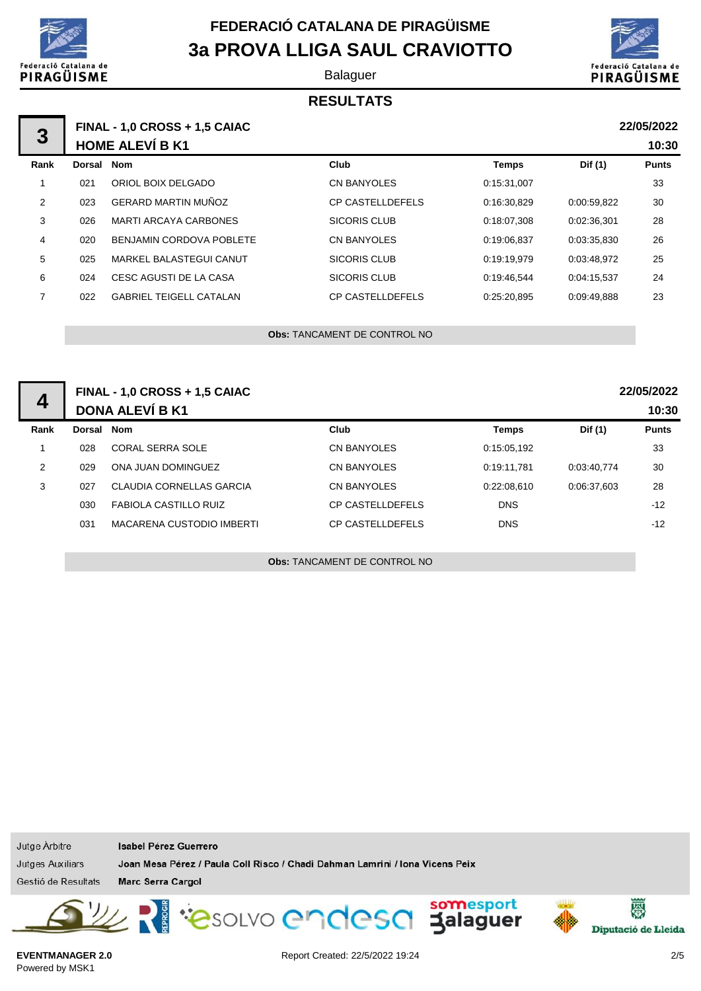

## **FEDERACIÓ CATALANA DE PIRAGÜISME 3a PROVA LLIGA SAUL CRAVIOTTO**

Balaguer





#### **1 3 FINAL - 1,0 CROSS + 1,5 CAIAC 22/05/2022 HOME ALEVÍ B K1 Rank Dorsal Nom Club Temps Dif (1) Punts** 1 021 ORIOL BOIX DELGADO CN BANYOLES 0:15:31,007 33 2 023 GERARD MARTIN MUÑOZ CP CASTELLDEFELS 0:16:30,829 0:00:59,822 30 3 026 MARTI ARCAYA CARBONES SICORIS CLUB 0:18:07,308 0:02:36,301 28 4 020 BENJAMIN CORDOVA POBLETE CN BANYOLES 0:19:06,837 0:03:35,830 26 5 025 MARKEL BALASTEGUI CANUT SICORIS CLUB 0:19:19,979 0:03:48,972 25 6 024 CESC AGUSTI DE LA CASA SICORIS CLUB 0:19:46,544 0:04:15,537 24 7 022 GABRIEL TEIGELL CATALAN CP CASTELLDEFELS 0:25:20,895 0:09:49,888 23 **22/05/2022 10:30**

**Obs:** TANCAMENT DE CONTROL NO

| $\overline{4}$ | <b>FINAL - 1,0 CROSS + 1,5 CAIAC</b><br><b>DONA ALEVÍ B K1</b> |                              |                         |             |             | 22/05/2022<br>10:30 |
|----------------|----------------------------------------------------------------|------------------------------|-------------------------|-------------|-------------|---------------------|
| Rank           | Dorsal Nom                                                     |                              | Club                    | Temps       | Dif (1)     | <b>Punts</b>        |
|                | 028                                                            | <b>CORAL SERRA SOLE</b>      | <b>CN BANYOLES</b>      | 0:15:05.192 |             | 33                  |
| 2              | 029                                                            | ONA JUAN DOMINGUEZ           | <b>CN BANYOLES</b>      | 0.19.11.781 | 0:03:40.774 | 30                  |
| 3              | 027                                                            | CLAUDIA CORNELLAS GARCIA     | <b>CN BANYOLES</b>      | 0.22:08.610 | 0.06:37.603 | 28                  |
|                | 030                                                            | <b>FABIOLA CASTILLO RUIZ</b> | <b>CP CASTELLDEFELS</b> | <b>DNS</b>  |             | $-12$               |
|                | 031                                                            | MACARENA CUSTODIO IMBERTI    | <b>CP CASTELLDEFELS</b> | <b>DNS</b>  |             | $-12$               |
|                |                                                                |                              |                         |             |             |                     |

**Obs:** TANCAMENT DE CONTROL NO

Jutge Arbitre Isabel Pérez Guerrero Joan Mesa Pérez / Paula Coll Risco / Chadi Dahman Lamrini / Iona Vicens Peix **Jutges Auxiliars** Gestió de Resultats Marc Serra Cargol PasoLVO Cndesa Jalaguer 图 Diputació de Lleida

**EVENTMANAGER 2.0** Powered by MSK1

Report Created: 22/5/2022 19:24 2012 2023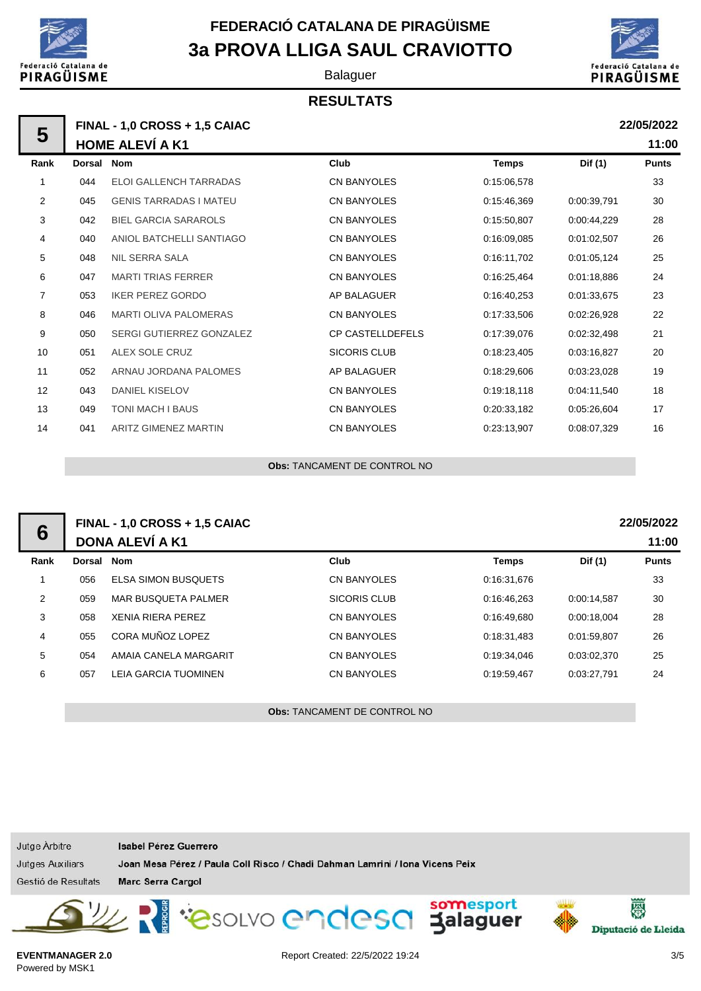

## **3a PROVA LLIGA SAUL CRAVIOTTO FEDERACIÓ CATALANA DE PIRAGÜISME**

Balaguer

### **RESULTATS**



**22/05/2022**

**22/05/2022**

**11:00**

**11:00**

| 5    | <b>FINAL - 1,0 CROSS + 1,5 CAIAC</b><br><b>HOME ALEVÍ A K1</b> |                               |  |  |
|------|----------------------------------------------------------------|-------------------------------|--|--|
| Rank | Dorsal Nom                                                     |                               |  |  |
| 1    | 044                                                            | FLOLGALL FNCH TARRADAS        |  |  |
| 2    | 045                                                            | <b>GENIS TARRADAS I MATEU</b> |  |  |
| 3    | 042                                                            | <b>BIEL GARCIA SARAROLS</b>   |  |  |
| 4    | 040                                                            | ANIOL BATCHELLI SANTIAGO      |  |  |
| Ε    | ∩⊿ହ                                                            | NII CEDDA CALA                |  |  |

| Rank           | Dorsal | <b>Nom</b>                    | Club                    | <b>Temps</b> | Dif (1)     | <b>Punts</b> |
|----------------|--------|-------------------------------|-------------------------|--------------|-------------|--------------|
|                | 044    | <b>ELOI GALLENCH TARRADAS</b> | <b>CN BANYOLES</b>      | 0:15:06.578  |             | 33           |
| $\overline{2}$ | 045    | <b>GENIS TARRADAS I MATEU</b> | CN BANYOLES             | 0:15:46,369  | 0:00:39,791 | 30           |
| 3              | 042    | <b>BIEL GARCIA SARAROLS</b>   | <b>CN BANYOLES</b>      | 0:15:50,807  | 0:00:44,229 | 28           |
| 4              | 040    | ANIOL BATCHELLI SANTIAGO      | CN BANYOLES             | 0:16:09.085  | 0:01:02,507 | 26           |
| 5              | 048    | <b>NIL SERRA SALA</b>         | CN BANYOLES             | 0:16:11,702  | 0.01:05,124 | 25           |
| 6              | 047    | <b>MARTI TRIAS FERRER</b>     | <b>CN BANYOLES</b>      | 0:16:25,464  | 0:01:18.886 | 24           |
| 7              | 053    | <b>IKER PEREZ GORDO</b>       | AP BALAGUER             | 0:16:40,253  | 0.01:33,675 | 23           |
| 8              | 046    | <b>MARTI OLIVA PALOMERAS</b>  | CN BANYOLES             | 0:17:33,506  | 0:02:26,928 | 22           |
| 9              | 050    | SERGI GUTIERREZ GONZALEZ      | <b>CP CASTELLDEFELS</b> | 0:17:39,076  | 0:02:32,498 | 21           |
| 10             | 051    | ALEX SOLE CRUZ                | <b>SICORIS CLUB</b>     | 0:18:23,405  | 0:03:16,827 | 20           |
| 11             | 052    | ARNAU JORDANA PALOMES         | AP BALAGUER             | 0:18:29,606  | 0:03:23,028 | 19           |
| 12             | 043    | <b>DANIEL KISELOV</b>         | CN BANYOLES             | 0:19:18,118  | 0:04:11.540 | 18           |
| 13             | 049    | TONI MACH I BAUS              | CN BANYOLES             | 0:20:33,182  | 0:05:26,604 | 17           |
| 14             | 041    | ARITZ GIMENEZ MARTIN          | <b>CN BANYOLES</b>      | 0:23:13,907  | 0:08:07.329 | 16           |
|                |        |                               |                         |              |             |              |

**Obs:** TANCAMENT DE CONTROL NO

| O | FINAL - 1,0 CROSS + 1,5 CAIAC<br><b>DONA ALEVÍ A K1</b> |                            |              |             |             |    |
|---|---------------------------------------------------------|----------------------------|--------------|-------------|-------------|----|
|   |                                                         |                            |              |             |             |    |
|   | 056                                                     | <b>ELSA SIMON BUSQUETS</b> | CN BANYOLES  | 0:16:31,676 |             | 33 |
|   | 059                                                     | MAR BUSQUETA PALMER        | SICORIS CLUB | 0:16:46,263 | 0:00:14.587 | 30 |
|   | 058                                                     | <b>XENIA RIERA PEREZ</b>   | CN BANYOLES  | 0:16:49.680 | 0:00:18.004 | 28 |

|   | 056 | <b>ELSA SIMON BUSQUETS</b> | CN BANYOLES  | 0:16:31,676 |             | 33 |
|---|-----|----------------------------|--------------|-------------|-------------|----|
| 2 | 059 | MAR BUSQUETA PALMER        | SICORIS CLUB | 0:16:46,263 | 0:00:14.587 | 30 |
| 3 | 058 | XENIA RIERA PEREZ          | CN BANYOLES  | 0:16:49,680 | 0:00:18.004 | 28 |
| 4 | 055 | CORA MUÑOZ LOPEZ           | CN BANYOLES  | 0:18:31,483 | 0:01:59.807 | 26 |
| 5 | 054 | AMAIA CANELA MARGARIT      | CN BANYOLES  | 0:19:34.046 | 0:03:02.370 | 25 |
| 6 | 057 | LEIA GARCIA TUOMINEN       | CN BANYOLES  | 0:19:59,467 | 0:03:27,791 | 24 |

**Obs:** TANCAMENT DE CONTROL NO

| Jutge Arbitre       | <b>Isabel Pérez Guerrero</b>                                                 |
|---------------------|------------------------------------------------------------------------------|
| Jutges Auxiliars    | Joan Mesa Pérez / Paula Coll Risco / Chadi Dahman Lamrini / Iona Vicens Peix |
| Gestió de Resultats | <b>Marc Serra Cargol</b>                                                     |



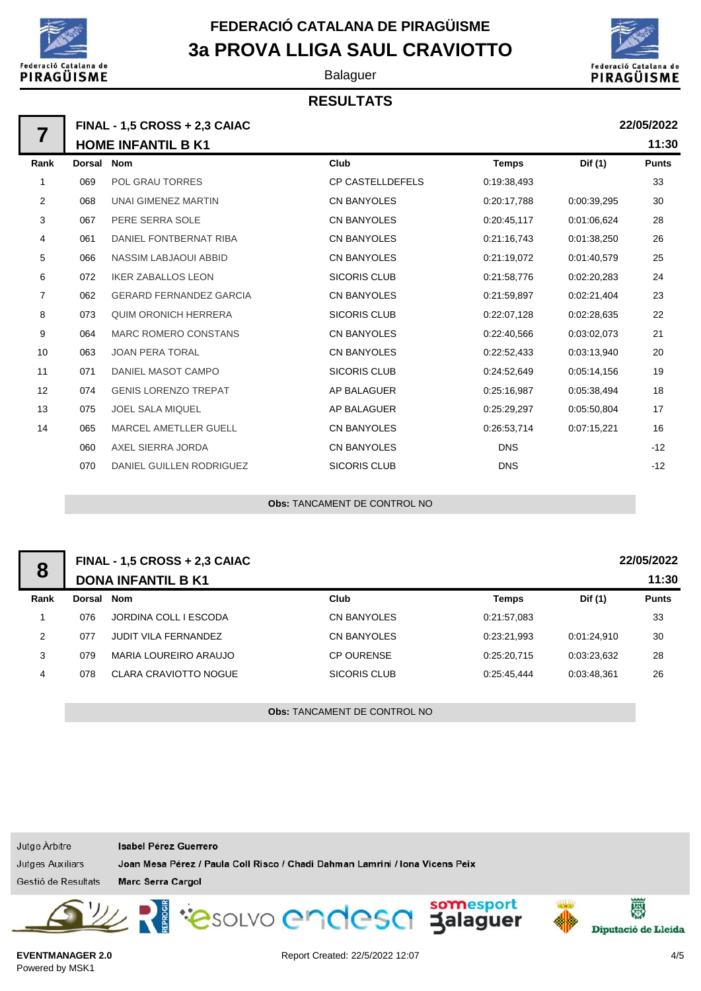

# **3a PROVA LLIGA SAUL CRAVIOTTO FEDERACIÓ CATALANA DE PIRAGÜISME**

Balaguer

### **RESULTATS**



**22/05/2022**

| <b>FINAL - 1,5 CROSS + 2,3 CAIAC</b> |
|--------------------------------------|
| <b>HOME INFANTIL B K1</b>            |
|                                      |

|      | <b>HOME INFANTIL B K1</b> |                                |                         |              |             |              |
|------|---------------------------|--------------------------------|-------------------------|--------------|-------------|--------------|
| Rank | <b>Dorsal</b>             | Nom                            | Club                    | <b>Temps</b> | Dif (1)     | <b>Punts</b> |
| 1    | 069                       | <b>POL GRAU TORRES</b>         | <b>CP CASTELLDEFELS</b> | 0:19:38,493  |             | 33           |
| 2    | 068                       | <b>UNAI GIMENEZ MARTIN</b>     | <b>CN BANYOLES</b>      | 0:20:17,788  | 0:00:39.295 | 30           |
| 3    | 067                       | PERE SERRA SOLE                | <b>CN BANYOLES</b>      | 0:20:45,117  | 0:01:06.624 | 28           |
| 4    | 061                       | DANIEL FONTBERNAT RIBA         | <b>CN BANYOLES</b>      | 0:21:16,743  | 0:01:38,250 | 26           |
| 5    | 066                       | <b>NASSIM LABJAOUI ABBID</b>   | <b>CN BANYOLES</b>      | 0:21:19,072  | 0:01:40,579 | 25           |
| 6    | 072                       | <b>IKER ZABALLOS LEON</b>      | <b>SICORIS CLUB</b>     | 0:21:58,776  | 0:02:20,283 | 24           |
| 7    | 062                       | <b>GERARD FERNANDEZ GARCIA</b> | <b>CN BANYOLES</b>      | 0:21:59,897  | 0:02:21,404 | 23           |
| 8    | 073                       | <b>QUIM ORONICH HERRERA</b>    | <b>SICORIS CLUB</b>     | 0:22:07,128  | 0:02:28,635 | 22           |
| 9    | 064                       | <b>MARC ROMERO CONSTANS</b>    | <b>CN BANYOLES</b>      | 0:22:40,566  | 0:03:02,073 | 21           |
| 10   | 063                       | <b>JOAN PERA TORAL</b>         | <b>CN BANYOLES</b>      | 0:22:52,433  | 0:03:13,940 | 20           |
| 11   | 071                       | DANIEL MASOT CAMPO             | <b>SICORIS CLUB</b>     | 0:24:52,649  | 0:05:14.156 | 19           |
| 12   | 074                       | <b>GENIS LORENZO TREPAT</b>    | <b>AP BALAGUER</b>      | 0:25:16,987  | 0.05:38,494 | 18           |
| 13   | 075                       | <b>JOEL SALA MIQUEL</b>        | AP BALAGUER             | 0:25:29,297  | 0:05:50,804 | 17           |
| 14   | 065                       | <b>MARCEL AMETLLER GUELL</b>   | <b>CN BANYOLES</b>      | 0:26:53,714  | 0:07:15,221 | 16           |
|      | 060                       | AXEL SIERRA JORDA              | <b>CN BANYOLES</b>      | <b>DNS</b>   |             | $-12$        |
|      | 070                       | DANIEL GUILLEN RODRIGUEZ       | <b>SICORIS CLUB</b>     | <b>DNS</b>   |             | $-12$        |

**Obs:** TANCAMENT DE CONTROL NO

| 8    | 22/05/2022<br><b>FINAL - 1,5 CROSS + 2,3 CAIAC</b> |                              |                    |              |             |              |  |
|------|----------------------------------------------------|------------------------------|--------------------|--------------|-------------|--------------|--|
|      | <b>DONA INFANTIL B K1</b>                          |                              |                    |              |             |              |  |
| Rank | Dorsal                                             | Nom                          | Club               | <b>Temps</b> | Dif (1)     | <b>Punts</b> |  |
|      | 076                                                | JORDINA COLL I ESCODA        | <b>CN BANYOLES</b> | 0:21:57,083  |             | 33           |  |
| 2    | 077                                                | <b>JUDIT VILA FERNANDEZ</b>  | CN BANYOLES        | 0:23:21,993  | 0:01:24.910 | 30           |  |
| 3    | 079                                                | MARIA LOUREIRO ARAUJO        | <b>CP OURENSE</b>  | 0:25:20.715  | 0.03:23,632 | 28           |  |
| 4    | 078                                                | <b>CLARA CRAVIOTTO NOGUE</b> | SICORIS CLUB       | 0:25:45.444  | 0:03:48,361 | 26           |  |
|      |                                                    |                              |                    |              |             |              |  |

**Obs:** TANCAMENT DE CONTROL NO

| Jutge Arbitre       | Isabel Pérez Guerrero                                                        |                          |
|---------------------|------------------------------------------------------------------------------|--------------------------|
| Jutges Auxiliars    | Joan Mesa Pérez / Paula Coll Risco / Chadi Dahman Lamrini / Iona Vicens Peix |                          |
| Gestió de Resultats | <b>Marc Serra Cargol</b>                                                     |                          |
|                     | Les Souve endesd Salaguer                                                    | 图<br>Diputació de Lleida |

**EVENTMANAGER 2.0** Powered by MSK1

Report Created: 22/5/2022 12:07 4/5